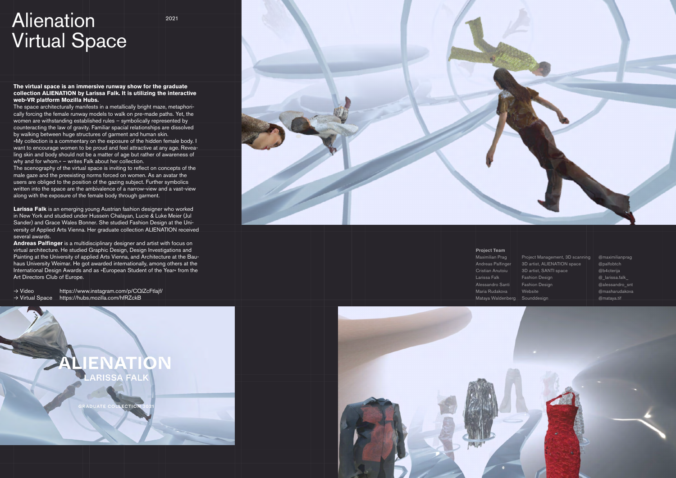## Alienation Virtual Space

2021

## **The virtual space is an immersive runway show for the graduate collection ALIENATION by Larissa Falk. It is utilizing the interactive web-VR platform Mozilla Hubs.**

The space architecturally manifests in a metallically bright maze, metaphori cally forcing the female runway models to walk on pre-made paths. Yet, the women are withstanding established rules – symbolically represented by counteracting the law of gravity. Familiar spacial relationships are dissolved by walking between huge structures of garment and human skin.

»My collection is a commentary on the exposure of the hidden female body. I want to encourage women to be proud and feel attractive at any age. Revea ling skin and body should not be a matter of age but rather of awareness of why and for whom.« – writes Falk about her collection.

The scenography of the virtual space is inviting to reflect on concepts of the male gaze and the preexisting norms forced on women. As an avatar the users are obliged to the position of the gazing subject. Further symbolics written into the space are the ambivalence of a narrow-view and a vast-view along with the exposure of the female body through garment.

> Maximilian Prag Project Management, 3D scanning @maximilianprag Andreas Palfinger 3D artist, ALIENATION space @palfobtch Cristian Anutoiu | | 3D artist, SANTI space @b4cterija Larissa Falk Fashion Design  $\Box$   $\Box$  arissa.falk Alessandro Santi | Fashion Design | @alessandro\_snt Maria Rudakova | Website | Website | @masharudakova Mataya Waldenberg Sounddesign @mataya.tif

**Larissa Falk** is an emerging young Austrian fashion designer who worked in New York and studied under Hussein Chalayan, Lucie & Luke Meier (Jul Sander) and Grace Wales Bonner. She studied Fashion Design at the Uni versity of Applied Arts Vienna. Her graduate collection ALIENATION received several awards.

**Andreas Palfinger** is a multidisciplinary designer and artist with focus on virtual architecture. He studied Graphic Design, Design Investigations and Painting at the University of applied Arts Vienna, and Architecture at the Bau haus University Weimar. He got awarded internationally, among others at the International Design Awards and as »European Student of the Year« from the Art Directors Club of Europe.

→ Video https://www.instagram.com/p/CQlZcFtlajf/ → Virtual Space https://hubs.mozilla.com/hfRZckB





## **Project Team**